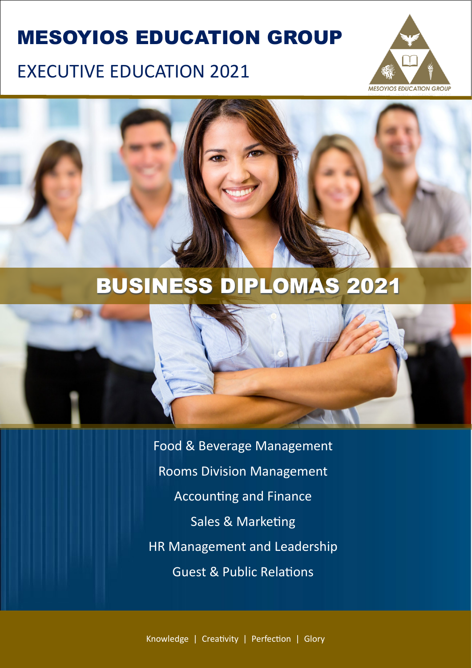# MESOYIOS EDUCATION GROUP

# EXECUTIVE EDUCATION 2021





# BUSINESS DIPLOMAS 2021



Food & Beverage Management Rooms Division Management Accounting and Finance Sales & Marketing HR Management and Leadership **Guest & Public Relations** 

Knowledge | Creativity | Perfection | Glory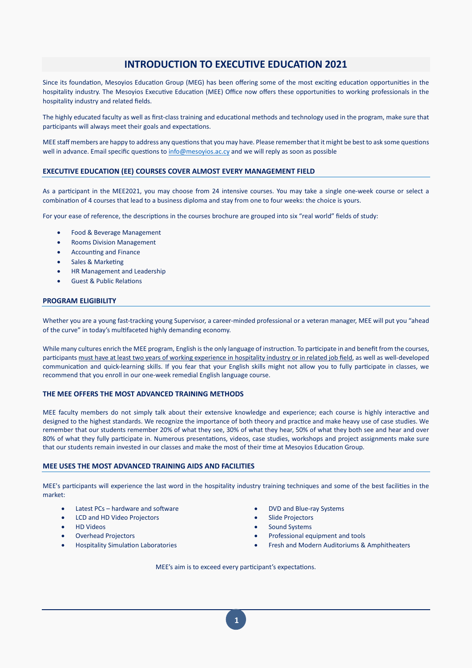# **INTRODUCTION TO EXECUTIVE EDUCATION 2021**

Since its foundation, Mesoyios Education Group (MEG) has been offering some of the most exciting education opportunities in the hospitality industry. The Mesoyios Executive Education (MEE) Office now offers these opportunities to working professionals in the hospitality industry and related fields.

The highly educated faculty as well as first-class training and educational methods and technology used in the program, make sure that participants will always meet their goals and expectations.

MEE staff members are happy to address any questions that you may have. Please remember that it might be best to ask some questions well in advance. Email specific questions to [info@mesoyios.ac.cy](mailto:info@mesoyios.ac.cy) and we will reply as soon as possible

## **EXECUTIVE EDUCATION (EE) COURSES COVER ALMOST EVERY MANAGEMENT FIELD**

As a participant in the MEE2021, you may choose from 24 intensive courses. You may take a single one-week course or select a combination of 4 courses that lead to a business diploma and stay from one to four weeks: the choice is yours.

For your ease of reference, the descriptions in the courses brochure are grouped into six "real world" fields of study:

- Food & Beverage Management
- Rooms Division Management
- Accounting and Finance
- Sales & Marketing
- HR Management and Leadership
- **Guest & Public Relations**

# **PROGRAM ELIGIBILITY**

Whether you are a young fast-tracking young Supervisor, a career-minded professional or a veteran manager, MEE will put you "ahead of the curve" in today's multifaceted highly demanding economy.

While many cultures enrich the MEE program, English is the only language of instruction. To participate in and benefit from the courses, par�cipants must have at least two years of working experience in hospitality industry or in related job field, as well as well-developed communication and quick-learning skills. If you fear that your English skills might not allow you to fully participate in classes, we recommend that you enroll in our one-week remedial English language course.

## **THE MEE OFFERS THE MOST ADVANCED TRAINING METHODS**

MEE faculty members do not simply talk about their extensive knowledge and experience; each course is highly interactive and designed to the highest standards. We recognize the importance of both theory and prac�ce and make heavy use of case studies. We remember that our students remember 20% of what they see, 30% of what they hear, 50% of what they both see and hear and over 80% of what they fully participate in. Numerous presentations, videos, case studies, workshops and project assignments make sure that our students remain invested in our classes and make the most of their time at Mesoyios Education Group.

### **MEE USES THE MOST ADVANCED TRAINING AIDS AND FACILITIES**

MEE's participants will experience the last word in the hospitality industry training techniques and some of the best facilities in the market:

- Latest PCs hardware and software entitled and the state of the DVD and Blue-ray Systems
- LCD and HD Video Projectors Slide Projectors
- 
- 
- 
- 
- 
- HD Videos Sound Systems
- Overhead Projectors Professional equipment and tools
- Hospitality Simula�on Laboratories Fresh and Modern Auditoriums & Amphitheaters

MEE's aim is to exceed every participant's expectations.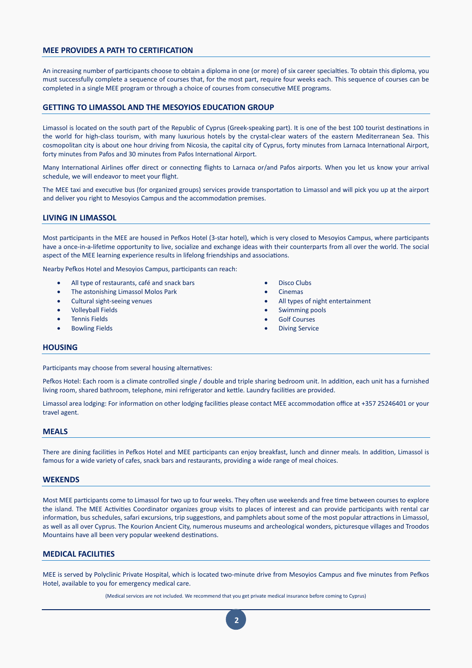## **MEE PROVIDES A PATH TO CERTIFICATION**

An increasing number of participants choose to obtain a diploma in one (or more) of six career specialties. To obtain this diploma, you must successfully complete a sequence of courses that, for the most part, require four weeks each. This sequence of courses can be completed in a single MEE program or through a choice of courses from consecutive MEE programs.

## **GETTING TO LIMASSOL AND THE MESOYIOS EDUCATION GROUP**

Limassol is located on the south part of the Republic of Cyprus (Greek-speaking part). It is one of the best 100 tourist destinations in the world for high-class tourism, with many luxurious hotels by the crystal-clear waters of the eastern Mediterranean Sea. This cosmopolitan city is about one hour driving from Nicosia, the capital city of Cyprus, forty minutes from Larnaca International Airport, forty minutes from Pafos and 30 minutes from Pafos International Airport.

Many International Airlines offer direct or connecting flights to Larnaca or/and Pafos airports. When you let us know your arrival schedule, we will endeavor to meet your flight.

The MEE taxi and executive bus (for organized groups) services provide transportation to Limassol and will pick you up at the airport and deliver you right to Mesoyios Campus and the accommodation premises.

## **LIVING IN LIMASSOL**

Most participants in the MEE are housed in Pefkos Hotel (3-star hotel), which is very closed to Mesoyios Campus, where participants have a once-in-a-lifetime opportunity to live, socialize and exchange ideas with their counterparts from all over the world. The social aspect of the MEE learning experience results in lifelong friendships and associations.

Nearby Pefkos Hotel and Mesoyios Campus, participants can reach:

- All type of restaurants, café and snack bars
- The astonishing Limassol Molos Park
- Cultural sight-seeing venues
- Volleyball Fields
- Tennis Fields
- Bowling Fields
- Disco Clubs
- Cinemas
- All types of night entertainment
- Swimming pools
- **Golf Courses**
- **Diving Service**

#### **HOUSING**

Participants may choose from several housing alternatives:

Pefkos Hotel: Each room is a climate controlled single / double and triple sharing bedroom unit. In addition, each unit has a furnished living room, shared bathroom, telephone, mini refrigerator and kettle. Laundry facilities are provided.

Limassol area lodging: For information on other lodging facilities please contact MEE accommodation office at +357 25246401 or your travel agent.

#### **MEALS**

There are dining facilities in Pefkos Hotel and MEE participants can enjoy breakfast, lunch and dinner meals. In addition, Limassol is famous for a wide variety of cafes, snack bars and restaurants, providing a wide range of meal choices.

#### **WEKENDS**

Most MEE participants come to Limassol for two up to four weeks. They often use weekends and free time between courses to explore the island. The MEE Activities Coordinator organizes group visits to places of interest and can provide participants with rental car information, bus schedules, safari excursions, trip suggestions, and pamphlets about some of the most popular attractions in Limassol, as well as all over Cyprus. The Kourion Ancient City, numerous museums and archeological wonders, picturesque villages and Troodos Mountains have all been very popular weekend destinations.

# **MEDICAL FACILITIES**

MEE is served by Polyclinic Private Hospital, which is located two-minute drive from Mesoyios Campus and five minutes from Pefkos Hotel, available to you for emergency medical care.

(Medical services are not included. We recommend that you get private medical insurance before coming to Cyprus)

**2**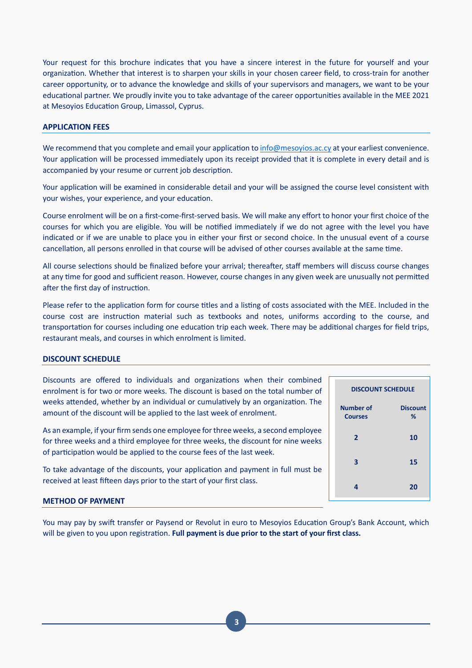Your request for this brochure indicates that you have a sincere interest in the future for yourself and your organization. Whether that interest is to sharpen your skills in your chosen career field, to cross-train for another career opportunity, or to advance the knowledge and skills of your supervisors and managers, we want to be your educational partner. We proudly invite you to take advantage of the career opportunities available in the MEE 2021 at Mesoyios Education Group, Limassol, Cyprus.

## **APPLICATION FEES**

We recommend that you complete and email your application t[o info@mesoyios.ac.cy](mailto:info@mesoyios.ac.cy) at your earliest convenience. Your application will be processed immediately upon its receipt provided that it is complete in every detail and is accompanied by your resume or current job description.

Your application will be examined in considerable detail and your will be assigned the course level consistent with your wishes, your experience, and your education.

Course enrolment will be on a first-come-first-served basis. We will make any effort to honor your first choice of the courses for which you are eligible. You will be no�fied immediately if we do not agree with the level you have indicated or if we are unable to place you in either your first or second choice. In the unusual event of a course cancellation, all persons enrolled in that course will be advised of other courses available at the same time.

All course selections should be finalized before your arrival; thereafter, staff members will discuss course changes at any time for good and sufficient reason. However, course changes in any given week are unusually not permitted after the first day of instruction.

Please refer to the application form for course titles and a listing of costs associated with the MEE. Included in the course cost are instruction material such as textbooks and notes, uniforms according to the course, and transportation for courses including one education trip each week. There may be additional charges for field trips, restaurant meals, and courses in which enrolment is limited.

### **DISCOUNT SCHEDULE**

Discounts are offered to individuals and organizations when their combined enrolment is for two or more weeks. The discount is based on the total number of weeks attended, whether by an individual or cumulatively by an organization. The amount of the discount will be applied to the last week of enrolment.

As an example, if your firm sends one employee for three weeks, a second employee for three weeks and a third employee for three weeks, the discount for nine weeks of participation would be applied to the course fees of the last week.

To take advantage of the discounts, your application and payment in full must be received at least fifteen days prior to the start of your first class.

# **METHOD OF PAYMENT**

You may pay by swift transfer or Paysend or Revolut in euro to Mesoyios Education Group's Bank Account, which will be given to you upon registration. Full payment is due prior to the start of your first class.

| <b>DISCOUNT SCHEDULE</b>           |                      |  |  |  |
|------------------------------------|----------------------|--|--|--|
| <b>Number of</b><br><b>Courses</b> | <b>Discount</b><br>% |  |  |  |
| $\overline{2}$                     | 10                   |  |  |  |
| 3                                  | 15                   |  |  |  |
| 4                                  | 20                   |  |  |  |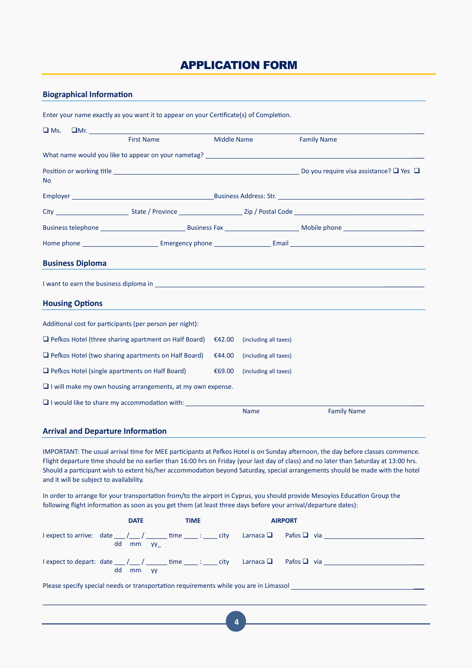# APPLICATION FORM

# **Biographical Information**

|                                              | Enter your name exactly as you want it to appear on your Certificate(s) of Completion.                                                                                                                                        |  |                    |                       |                                                                                                                                                                                                                                      |
|----------------------------------------------|-------------------------------------------------------------------------------------------------------------------------------------------------------------------------------------------------------------------------------|--|--------------------|-----------------------|--------------------------------------------------------------------------------------------------------------------------------------------------------------------------------------------------------------------------------------|
| $\square$ Ms.                                | $\Box$ Mr. $\_\_\_\_\_\_\_\_\_\_\_\_\_\_$                                                                                                                                                                                     |  |                    |                       |                                                                                                                                                                                                                                      |
|                                              | <b>First Name</b>                                                                                                                                                                                                             |  | <b>Middle Name</b> |                       | <b>Family Name</b>                                                                                                                                                                                                                   |
|                                              | What name would you like to appear on your nametag? The manufacturer of the control of the control of the control of the control of the control of the control of the control of the control of the control of the control of |  |                    |                       |                                                                                                                                                                                                                                      |
| <b>No</b>                                    |                                                                                                                                                                                                                               |  |                    |                       |                                                                                                                                                                                                                                      |
|                                              |                                                                                                                                                                                                                               |  |                    |                       |                                                                                                                                                                                                                                      |
|                                              |                                                                                                                                                                                                                               |  |                    |                       |                                                                                                                                                                                                                                      |
|                                              |                                                                                                                                                                                                                               |  |                    |                       |                                                                                                                                                                                                                                      |
|                                              |                                                                                                                                                                                                                               |  |                    |                       |                                                                                                                                                                                                                                      |
|                                              | <b>Business Diploma</b>                                                                                                                                                                                                       |  |                    |                       |                                                                                                                                                                                                                                      |
|                                              |                                                                                                                                                                                                                               |  |                    |                       | I want to earn the business diploma in <b>container the contact of the contact of the contact of the contact of the contact of the contact of the contact of the contact of the contact of the contact of the contact of the con</b> |
|                                              | <b>Housing Options</b>                                                                                                                                                                                                        |  |                    |                       |                                                                                                                                                                                                                                      |
|                                              | Additional cost for participants (per person per night):                                                                                                                                                                      |  |                    |                       |                                                                                                                                                                                                                                      |
|                                              | $\Box$ Pefkos Hotel (three sharing apartment on Half Board)                                                                                                                                                                   |  | €42.00             | (including all taxes) |                                                                                                                                                                                                                                      |
|                                              | $\Box$ Pefkos Hotel (two sharing apartments on Half Board)                                                                                                                                                                    |  | €44.00             | (including all taxes) |                                                                                                                                                                                                                                      |
|                                              | $\Box$ Pefkos Hotel (single apartments on Half Board)                                                                                                                                                                         |  | €69.00             | (including all taxes) |                                                                                                                                                                                                                                      |
|                                              | $\Box$ I will make my own housing arrangements, at my own expense.                                                                                                                                                            |  |                    |                       |                                                                                                                                                                                                                                      |
| I would like to share my accommodation with: |                                                                                                                                                                                                                               |  |                    |                       |                                                                                                                                                                                                                                      |
|                                              |                                                                                                                                                                                                                               |  |                    | <b>Name</b>           | <b>Family Name</b>                                                                                                                                                                                                                   |
|                                              | <b>Arrival and Departure Information</b>                                                                                                                                                                                      |  |                    |                       |                                                                                                                                                                                                                                      |

IMPORTANT: The usual arrival time for MEE participants at Pefkos Hotel is on Sunday afternoon, the day before classes commence. Flight departure time should be no earlier than 16:00 hrs on Friday (your last day of class) and no later than Saturday at 13:00 hrs. Should a participant wish to extent his/her accommodation beyond Saturday, special arrangements should be made with the hotel and it will be subject to availability.

In order to arrange for your transportation from/to the airport in Cyprus, you should provide Mesoyios Education Group the following flight information as soon as you get them (at least three days before your arrival/departure dates):

|                                                                                       |    | <b>DATE</b> | <b>TIME</b> |  |  | <b>AIRPORT</b> |                                                                                                               |
|---------------------------------------------------------------------------------------|----|-------------|-------------|--|--|----------------|---------------------------------------------------------------------------------------------------------------|
|                                                                                       |    | dd mm yy    |             |  |  |                | $\lceil \text{expect to arrive:}$ date $\lceil \text{det} \rceil$ dime : city Larnaca $\Box$ Pafos $\Box$ via |
|                                                                                       | dd | mm vv       |             |  |  |                | l expect to depart: date $\_\_\_\_\_\_\_\$ time $\_\_\_\_\$ : $\_\_$ city Larnaca $\Box$ Pafos $\Box$ via     |
| Please specify special needs or transportation requirements while you are in Limassol |    |             |             |  |  |                |                                                                                                               |

\_\_\_\_\_\_\_\_\_\_\_\_\_\_\_\_\_\_\_\_\_\_\_\_\_\_\_\_\_\_\_\_\_\_\_\_\_\_\_\_\_\_\_\_\_\_\_\_\_\_\_\_\_\_\_\_\_\_\_\_\_\_\_\_\_\_\_\_\_\_\_\_\_\_\_\_\_\_\_\_\_\_\_\_\_\_\_\_\_\_\_\_\_\_\_\_\_\_\_\_\_\_\_\_\_\_\_\_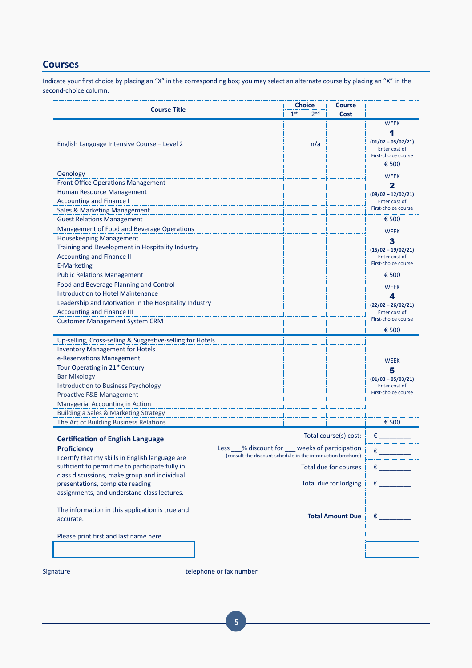# **Courses**

Indicate your first choice by placing an "X" in the corresponding box; you may select an alternate course by placing an "X" in the second-choice column.

|                                                                                                     | <b>Choice</b><br><b>Course</b>                                                                                   |                 |                 |                         |                                                                                           |
|-----------------------------------------------------------------------------------------------------|------------------------------------------------------------------------------------------------------------------|-----------------|-----------------|-------------------------|-------------------------------------------------------------------------------------------|
| <b>Course Title</b>                                                                                 |                                                                                                                  | 1 <sup>st</sup> | 2 <sub>nd</sub> | Cost                    |                                                                                           |
| English Language Intensive Course - Level 2                                                         |                                                                                                                  |                 | n/a             |                         | <b>WEEK</b><br>1<br>$(01/02 - 05/02/21)$<br>Enter cost of<br>First-choice course<br>€ 500 |
| Oenology                                                                                            |                                                                                                                  |                 |                 |                         |                                                                                           |
| <b>Front Office Operations Management</b>                                                           |                                                                                                                  |                 |                 |                         | <b>WEEK</b>                                                                               |
| Human Resource Management                                                                           |                                                                                                                  |                 |                 |                         | $\mathbf{2}$                                                                              |
| <b>Accounting and Finance I</b>                                                                     |                                                                                                                  |                 |                 |                         | $(08/02 - 12/02/21)$<br>Enter cost of                                                     |
| Sales & Marketing Management                                                                        |                                                                                                                  |                 |                 |                         | First-choice course                                                                       |
| <b>Guest Relations Management</b>                                                                   |                                                                                                                  |                 |                 |                         | € 500                                                                                     |
| Management of Food and Beverage Operations                                                          |                                                                                                                  |                 |                 |                         |                                                                                           |
| <b>Housekeeping Management</b>                                                                      |                                                                                                                  |                 |                 |                         | <b>WEEK</b>                                                                               |
| Training and Development in Hospitality Industry                                                    |                                                                                                                  |                 |                 |                         | 3                                                                                         |
| <b>Accounting and Finance II</b>                                                                    |                                                                                                                  |                 |                 |                         | $(15/02 - 19/02/21)$<br>Enter cost of                                                     |
| <b>E-Marketing</b>                                                                                  |                                                                                                                  |                 |                 |                         | First-choice course                                                                       |
| <b>Public Relations Management</b>                                                                  |                                                                                                                  |                 |                 |                         | € 500                                                                                     |
| Food and Beverage Planning and Control                                                              |                                                                                                                  |                 |                 |                         |                                                                                           |
| <b>Introduction to Hotel Maintenance</b>                                                            |                                                                                                                  |                 |                 |                         | <b>WEEK</b>                                                                               |
| Leadership and Motivation in the Hospitality Industry                                               |                                                                                                                  |                 |                 |                         | 4                                                                                         |
| <b>Accounting and Finance III</b>                                                                   |                                                                                                                  |                 |                 |                         | $(22/02 - 26/02/21)$<br>Enter cost of                                                     |
| <b>Customer Management System CRM</b>                                                               |                                                                                                                  |                 |                 |                         | First-choice course                                                                       |
|                                                                                                     |                                                                                                                  |                 |                 |                         | € 500                                                                                     |
| Up-selling, Cross-selling & Suggestive-selling for Hotels                                           |                                                                                                                  |                 |                 |                         |                                                                                           |
| <b>Inventory Management for Hotels</b>                                                              |                                                                                                                  |                 |                 |                         |                                                                                           |
| e-Reservations Management                                                                           |                                                                                                                  |                 |                 |                         | <b>WEEK</b>                                                                               |
| Tour Operating in 21 <sup>st</sup> Century                                                          |                                                                                                                  |                 |                 |                         | 5                                                                                         |
| <b>Bar Mixology</b>                                                                                 |                                                                                                                  |                 |                 |                         | $(01/03 - 05/03/21)$                                                                      |
| Introduction to Business Psychology                                                                 |                                                                                                                  |                 |                 |                         | Enter cost of                                                                             |
| Proactive F&B Management                                                                            |                                                                                                                  |                 |                 |                         | First-choice course                                                                       |
| Managerial Accounting in Action                                                                     |                                                                                                                  |                 |                 |                         |                                                                                           |
| <b>Building a Sales &amp; Marketing Strategy</b>                                                    |                                                                                                                  |                 |                 |                         |                                                                                           |
| The Art of Building Business Relations                                                              |                                                                                                                  |                 |                 |                         | € 500                                                                                     |
| <b>Certification of English Language</b>                                                            |                                                                                                                  |                 |                 | Total course(s) cost:   | €                                                                                         |
| <b>Proficiency</b>                                                                                  | Less __% discount for ___ weeks of participation<br>(consult the discount schedule in the introduction brochure) |                 |                 |                         | €                                                                                         |
| I certify that my skills in English language are<br>sufficient to permit me to participate fully in |                                                                                                                  |                 |                 | Total due for courses   | $\epsilon$ and $\epsilon$                                                                 |
| class discussions, make group and individual                                                        |                                                                                                                  |                 |                 |                         |                                                                                           |
| presentations, complete reading                                                                     |                                                                                                                  |                 |                 | Total due for lodging   | €                                                                                         |
| assignments, and understand class lectures.                                                         |                                                                                                                  |                 |                 |                         |                                                                                           |
| The information in this application is true and<br>accurate.                                        |                                                                                                                  |                 |                 | <b>Total Amount Due</b> | €                                                                                         |
| Please print first and last name here                                                               |                                                                                                                  |                 |                 |                         |                                                                                           |
|                                                                                                     |                                                                                                                  |                 |                 |                         |                                                                                           |
|                                                                                                     |                                                                                                                  |                 |                 |                         |                                                                                           |

Signature telephone or fax number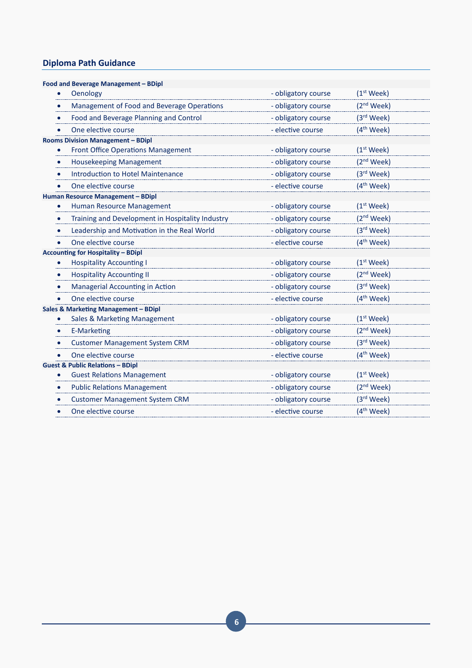# **Diploma Path Guidance**

| Food and Beverage Management - BDipl             |                     |                        |
|--------------------------------------------------|---------------------|------------------------|
| Oenology                                         | - obligatory course | $(1st \text{ week})$   |
| Management of Food and Beverage Operations       | - obligatory course | (2 <sup>nd</sup> Week) |
| Food and Beverage Planning and Control           | - obligatory course | (3rd Week)             |
| One elective course                              | - elective course   | $(4th$ Week)           |
| <b>Rooms Division Management - BDipl</b>         |                     |                        |
| <b>Front Office Operations Management</b>        | - obligatory course | (1 <sup>st</sup> Week) |
| <b>Housekeeping Management</b><br>$\bullet$      | - obligatory course | (2 <sup>nd</sup> Week) |
| <b>Introduction to Hotel Maintenance</b>         | - obligatory course | (3rd Week)             |
| One elective course                              | - elective course   | (4 <sup>th</sup> Week) |
| Human Resource Management - BDipl                |                     |                        |
| Human Resource Management<br>$\bullet$           | - obligatory course | $(1st \text{ week})$   |
| Training and Development in Hospitality Industry | - obligatory course | (2 <sup>nd</sup> Week) |
| Leadership and Motivation in the Real World      | - obligatory course | (3rd Week)             |
| One elective course                              | - elective course   | $(4th$ Week)           |
| <b>Accounting for Hospitality - BDipl</b>        |                     |                        |
| <b>Hospitality Accounting I</b>                  | - obligatory course | $(1st \text{ week})$   |
| <b>Hospitality Accounting II</b><br>$\bullet$    | - obligatory course | (2 <sup>nd</sup> Week) |
| Managerial Accounting in Action                  | - obligatory course | (3 <sup>rd</sup> Week) |
| One elective course                              | - elective course   | $(4th$ Week)           |
| <b>Sales &amp; Marketing Management - BDipl</b>  |                     |                        |
| Sales & Marketing Management                     | - obligatory course | $(1st \text{ week})$   |
| <b>E-Marketing</b>                               | - obligatory course | (2 <sup>nd</sup> Week) |
| <b>Customer Management System CRM</b>            | - obligatory course | (3 <sup>rd</sup> Week) |
| One elective course                              | - elective course   | $(4th$ Week)           |
| <b>Guest &amp; Public Relations - BDipl</b>      |                     |                        |
| <b>Guest Relations Management</b>                | - obligatory course | $(1st \text{ week})$   |
| <b>Public Relations Management</b>               | - obligatory course | (2 <sup>nd</sup> Week) |
| <b>Customer Management System CRM</b>            | - obligatory course | (3rd Week)             |
| One elective course                              | - elective course   | (4 <sup>th</sup> Week) |